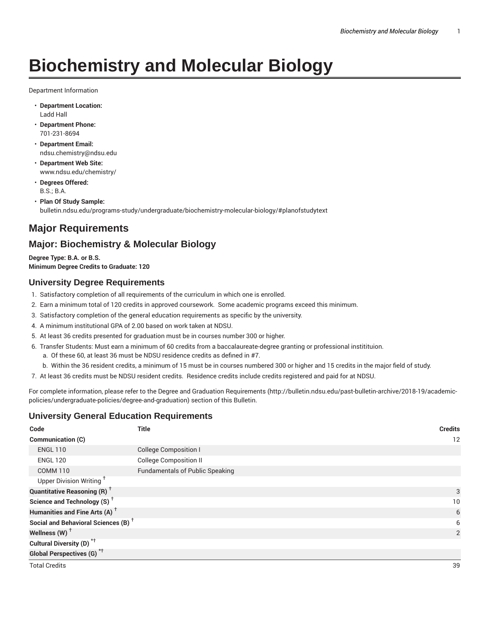# **Biochemistry and Molecular Biology**

Department Information

- **Department Location:** Ladd Hall
- **Department Phone:** 701-231-8694
- **Department Email:** ndsu.chemistry@ndsu.edu
- **Department Web Site:** www.ndsu.edu/chemistry/
- **Degrees Offered:** B.S.; B.A.
- **Plan Of Study Sample:** bulletin.ndsu.edu/programs-study/undergraduate/biochemistry-molecular-biology/#planofstudytext

# **Major Requirements**

## **Major: Biochemistry & Molecular Biology**

**Degree Type: B.A. or B.S. Minimum Degree Credits to Graduate: 120**

## **University Degree Requirements**

- 1. Satisfactory completion of all requirements of the curriculum in which one is enrolled.
- 2. Earn a minimum total of 120 credits in approved coursework. Some academic programs exceed this minimum.
- 3. Satisfactory completion of the general education requirements as specific by the university.
- 4. A minimum institutional GPA of 2.00 based on work taken at NDSU.
- 5. At least 36 credits presented for graduation must be in courses number 300 or higher.
- 6. Transfer Students: Must earn a minimum of 60 credits from a baccalaureate-degree granting or professional institituion.
	- a. Of these 60, at least 36 must be NDSU residence credits as defined in #7.
	- b. Within the 36 resident credits, a minimum of 15 must be in courses numbered 300 or higher and 15 credits in the major field of study.
- 7. At least 36 credits must be NDSU resident credits. Residence credits include credits registered and paid for at NDSU.

For complete information, please refer to the Degree and Graduation Requirements (http://bulletin.ndsu.edu/past-bulletin-archive/2018-19/academicpolicies/undergraduate-policies/degree-and-graduation) section of this Bulletin.

## **University General Education Requirements**

| Code                                            | <b>Title</b>                           | <b>Credits</b> |
|-------------------------------------------------|----------------------------------------|----------------|
| Communication (C)                               |                                        | 12             |
| <b>ENGL 110</b>                                 | <b>College Composition I</b>           |                |
| <b>ENGL 120</b>                                 | <b>College Composition II</b>          |                |
| <b>COMM 110</b>                                 | <b>Fundamentals of Public Speaking</b> |                |
| Upper Division Writing <sup>+</sup>             |                                        |                |
| <b>Quantitative Reasoning (R)</b> <sup>+</sup>  |                                        | 3              |
| Science and Technology (S) <sup>+</sup>         | 10                                     |                |
| Humanities and Fine Arts (A) <sup>+</sup>       | 6                                      |                |
| Social and Behavioral Sciences (B) <sup>+</sup> | 6                                      |                |
| Wellness $(W)$ <sup>+</sup>                     |                                        | $\overline{2}$ |
| Cultural Diversity (D) <sup>*†</sup>            |                                        |                |
| <b>Global Perspectives (G)</b> <sup>*†</sup>    |                                        |                |
| <b>Total Credits</b>                            |                                        | 39             |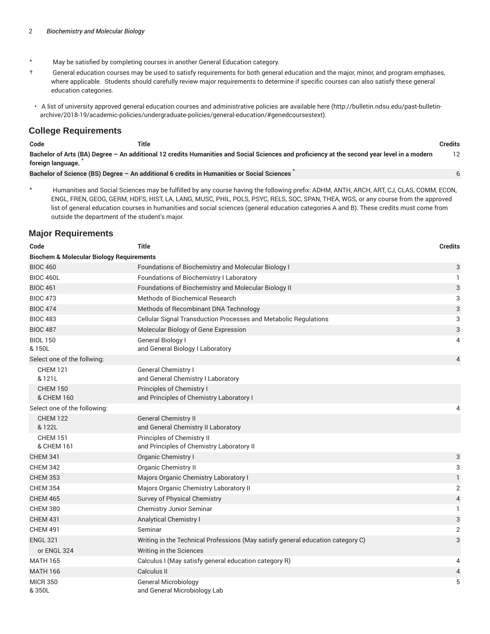- \* May be satisfied by completing courses in another General Education category.
- † General education courses may be used to satisfy requirements for both general education and the major, minor, and program emphases, where applicable. Students should carefully review major requirements to determine if specific courses can also satisfy these general education categories.
- A list of university approved general education courses and administrative policies are available here (http://bulletin.ndsu.edu/past-bulletinarchive/2018-19/academic-policies/undergraduate-policies/general-education/#genedcoursestext).

#### **College Requirements**

| Code | Title<br>___ | .<br><b>Credits</b><br>. |
|------|--------------|--------------------------|
|------|--------------|--------------------------|

6

Bachelor of Arts (BA) Degree - An additional 12 credits Humanities and Social Sciences and proficiency at the second year level in a modern **foreign language.** \* 12

**Bachelor of Science (BS) Degree – An additional 6 credits in Humanities or Social Sciences** \*

\* Humanities and Social Sciences may be fulfilled by any course having the following prefix: ADHM, ANTH, ARCH, ART, CJ, CLAS, COMM, ECON, ENGL, FREN, GEOG, GERM, HDFS, HIST, LA, LANG, MUSC, PHIL, POLS, PSYC, RELS, SOC, SPAN, THEA, WGS, or any course from the approved list of general education courses in humanities and social sciences (general education categories A and B). These credits must come from outside the department of the student's major.

## **Major Requirements**

| Code                                                | <b>Title</b>                                                                    | <b>Credits</b>            |
|-----------------------------------------------------|---------------------------------------------------------------------------------|---------------------------|
| <b>Biochem &amp; Molecular Biology Requirements</b> |                                                                                 |                           |
| <b>BIOC 460</b>                                     | Foundations of Biochemistry and Molecular Biology I                             | 3                         |
| <b>BIOC 460L</b>                                    | Foundations of Biochemistry I Laboratory                                        | 1                         |
| <b>BIOC 461</b>                                     | Foundations of Biochemistry and Molecular Biology II                            | $\ensuremath{\mathsf{3}}$ |
| <b>BIOC 473</b>                                     | <b>Methods of Biochemical Research</b>                                          | 3                         |
| <b>BIOC 474</b>                                     | Methods of Recombinant DNA Technology                                           | 3                         |
| <b>BIOC 483</b>                                     | Cellular Signal Transduction Processes and Metabolic Regulations                | 3                         |
| <b>BIOC 487</b>                                     | Molecular Biology of Gene Expression                                            | 3                         |
| <b>BIOL 150</b><br>& 150L                           | General Biology I<br>and General Biology I Laboratory                           | 4                         |
| Select one of the follwing:                         |                                                                                 | 4                         |
| <b>CHEM 121</b><br>& 121L                           | General Chemistry I<br>and General Chemistry I Laboratory                       |                           |
| <b>CHEM 150</b><br>& CHEM 160                       | Principles of Chemistry I<br>and Principles of Chemistry Laboratory I           |                           |
| Select one of the following:                        |                                                                                 | 4                         |
| <b>CHEM 122</b><br>& 122L                           | <b>General Chemistry II</b><br>and General Chemistry II Laboratory              |                           |
| <b>CHEM 151</b><br>& CHEM 161                       | Principles of Chemistry II<br>and Principles of Chemistry Laboratory II         |                           |
| <b>CHEM 341</b>                                     | Organic Chemistry I                                                             | 3                         |
| <b>CHEM 342</b>                                     | Organic Chemistry II                                                            | 3                         |
| <b>CHEM 353</b>                                     | Majors Organic Chemistry Laboratory I                                           | $\mathbf{1}$              |
| <b>CHEM 354</b>                                     | Majors Organic Chemistry Laboratory II                                          | $\overline{2}$            |
| <b>CHEM 465</b>                                     | Survey of Physical Chemistry                                                    | $\overline{4}$            |
| <b>CHEM 380</b>                                     | Chemistry Junior Seminar                                                        | 1                         |
| <b>CHEM 431</b>                                     | <b>Analytical Chemistry I</b>                                                   | 3                         |
| <b>CHEM 491</b>                                     | Seminar                                                                         | $\overline{2}$            |
| <b>ENGL 321</b>                                     | Writing in the Technical Professions (May satisfy general education category C) | 3                         |
| or ENGL 324                                         | Writing in the Sciences                                                         |                           |
| <b>MATH 165</b>                                     | Calculus I (May satisfy general education category R)                           | 4                         |
| <b>MATH 166</b>                                     | Calculus II                                                                     | 4                         |
| <b>MICR 350</b><br>&350L                            | <b>General Microbiology</b><br>and General Microbiology Lab                     | 5                         |